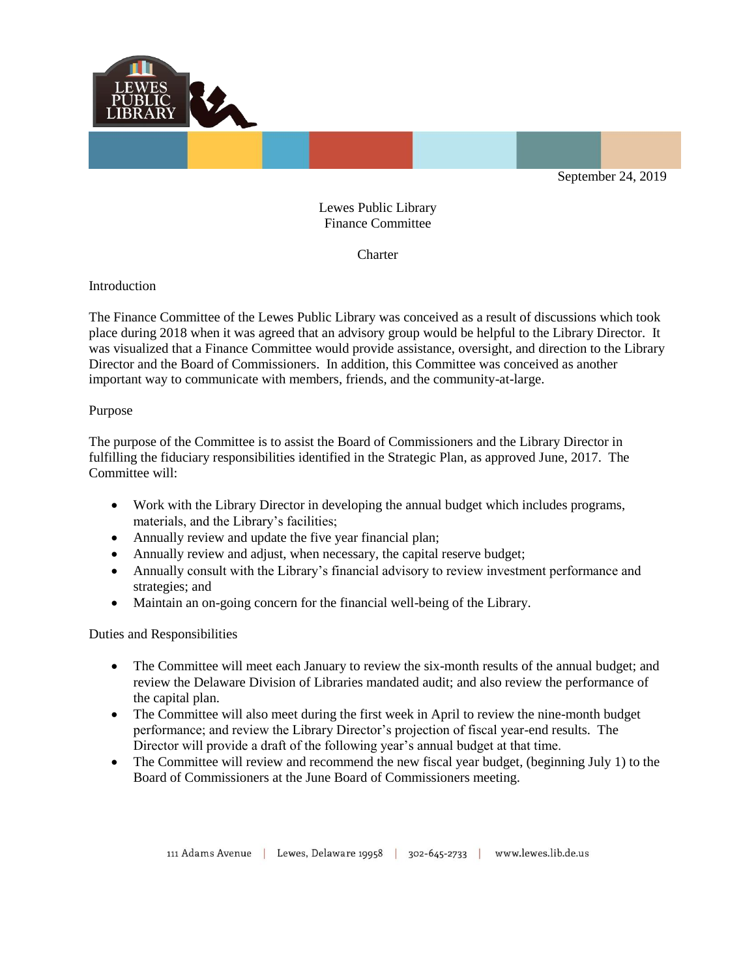

Lewes Public Library Finance Committee

**Charter** 

Introduction

The Finance Committee of the Lewes Public Library was conceived as a result of discussions which took place during 2018 when it was agreed that an advisory group would be helpful to the Library Director. It was visualized that a Finance Committee would provide assistance, oversight, and direction to the Library Director and the Board of Commissioners. In addition, this Committee was conceived as another important way to communicate with members, friends, and the community-at-large.

## Purpose

The purpose of the Committee is to assist the Board of Commissioners and the Library Director in fulfilling the fiduciary responsibilities identified in the Strategic Plan, as approved June, 2017. The Committee will:

- Work with the Library Director in developing the annual budget which includes programs, materials, and the Library's facilities;
- Annually review and update the five year financial plan;
- Annually review and adjust, when necessary, the capital reserve budget;
- Annually consult with the Library's financial advisory to review investment performance and strategies; and
- Maintain an on-going concern for the financial well-being of the Library.

Duties and Responsibilities

- The Committee will meet each January to review the six-month results of the annual budget; and review the Delaware Division of Libraries mandated audit; and also review the performance of the capital plan.
- The Committee will also meet during the first week in April to review the nine-month budget performance; and review the Library Director's projection of fiscal year-end results. The Director will provide a draft of the following year's annual budget at that time.
- The Committee will review and recommend the new fiscal year budget, (beginning July 1) to the Board of Commissioners at the June Board of Commissioners meeting.